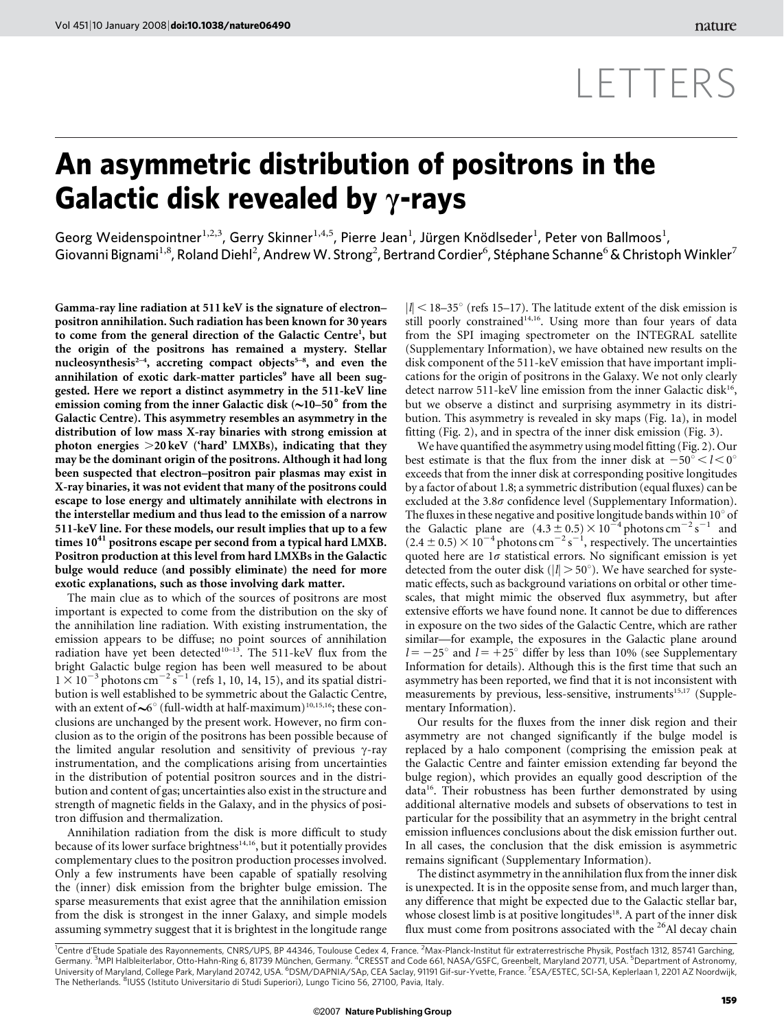## LETTERS

## An asymmetric distribution of positrons in the Galactic disk revealed by  $\gamma$ -rays

Georg Weidenspointner $^{1,2,3}$ , Gerry Skinner $^{1,4,5}$ , Pierre Jean<sup>1</sup>, Jürgen Knödlseder<sup>1</sup>, Peter von Ballmoos<sup>1</sup>, Giovanni Bignami $^{1,8}$ , Roland Diehl $^2$ , Andrew W. Strong $^2$ , Bertrand Cordier $^6$ , Stéphane Schanne $^6$  & Christoph Winkler $^7$ 

Gamma-ray line radiation at 511 keV is the signature of electron– positron annihilation. Such radiation has been known for 30 years to come from the general direction of the Galactic Centre<sup>1</sup>, but the origin of the positrons has remained a mystery. Stellar nucleosynthesis<sup> $2-4$ </sup>, accreting compact objects<sup>5-8</sup>, and even the annihilation of exotic dark-matter particles<sup>9</sup> have all been suggested. Here we report a distinct asymmetry in the 511-keV line emission coming from the inner Galactic disk  $(\sim]10-50^{\circ}$  from the Galactic Centre). This asymmetry resembles an asymmetry in the distribution of low mass X-ray binaries with strong emission at photon energies  $>20 \,\text{k}$  ('hard' LMXBs), indicating that they may be the dominant origin of the positrons. Although it had long been suspected that electron–positron pair plasmas may exist in X-ray binaries, it was not evident that many of the positrons could escape to lose energy and ultimately annihilate with electrons in the interstellar medium and thus lead to the emission of a narrow 511-keV line. For these models, our result implies that up to a few times  $10^{41}$  positrons escape per second from a typical hard LMXB. Positron production at this level from hard LMXBs in the Galactic bulge would reduce (and possibly eliminate) the need for more exotic explanations, such as those involving dark matter.

The main clue as to which of the sources of positrons are most important is expected to come from the distribution on the sky of the annihilation line radiation. With existing instrumentation, the emission appears to be diffuse; no point sources of annihilation radiation have yet been detected<sup>10-13</sup>. The 511-keV flux from the bright Galactic bulge region has been well measured to be about  $1 \times 10^{-3}$  photons cm<sup>-2</sup> s<sup>-1</sup> (refs 1, 10, 14, 15), and its spatial distribution is well established to be symmetric about the Galactic Centre, with an extent of  $\sim$  6° (full-width at half-maximum)<sup>10,15,16</sup>; these conclusions are unchanged by the present work. However, no firm conclusion as to the origin of the positrons has been possible because of the limited angular resolution and sensitivity of previous  $\gamma$ -ray instrumentation, and the complications arising from uncertainties in the distribution of potential positron sources and in the distribution and content of gas; uncertainties also exist in the structure and strength of magnetic fields in the Galaxy, and in the physics of positron diffusion and thermalization.

Annihilation radiation from the disk is more difficult to study because of its lower surface brightness<sup>14,16</sup>, but it potentially provides complementary clues to the positron production processes involved. Only a few instruments have been capable of spatially resolving the (inner) disk emission from the brighter bulge emission. The sparse measurements that exist agree that the annihilation emission from the disk is strongest in the inner Galaxy, and simple models assuming symmetry suggest that it is brightest in the longitude range

 $|l|$  < 18–35° (refs 15–17). The latitude extent of the disk emission is still poorly constrained<sup>14,16</sup>. Using more than four years of data from the SPI imaging spectrometer on the INTEGRAL satellite (Supplementary Information), we have obtained new results on the disk component of the 511-keV emission that have important implications for the origin of positrons in the Galaxy. We not only clearly detect narrow 511-keV line emission from the inner Galactic disk<sup>16</sup>, but we observe a distinct and surprising asymmetry in its distribution. This asymmetry is revealed in sky maps (Fig. 1a), in model fitting (Fig. 2), and in spectra of the inner disk emission (Fig. 3).

We have quantified the asymmetry using model fitting (Fig. 2). Our best estimate is that the flux from the inner disk at  $-50^{\circ} < l < 0^{\circ}$ exceeds that from the inner disk at corresponding positive longitudes by a factor of about 1.8; a symmetric distribution (equal fluxes) can be excluded at the  $3.8\sigma$  confidence level (Supplementary Information). The fluxes in these negative and positive longitude bands within  $10^{\circ}$  of the Galactic plane are  $(4.3 \pm 0.5) \times 10^{-4}$  photons cm<sup>-2</sup> s<sup>-1</sup> and  $(2.4 \pm 0.5) \times 10^{-4}$  photons cm<sup>-2</sup> s<sup>-1</sup>, respectively. The uncertainties quoted here are  $1\sigma$  statistical errors. No significant emission is yet detected from the outer disk ( $|l| > 50^{\circ}$ ). We have searched for systematic effects, such as background variations on orbital or other timescales, that might mimic the observed flux asymmetry, but after extensive efforts we have found none. It cannot be due to differences in exposure on the two sides of the Galactic Centre, which are rather similar—for example, the exposures in the Galactic plane around  $l = -25^{\circ}$  and  $l = +25^{\circ}$  differ by less than 10% (see Supplementary Information for details). Although this is the first time that such an asymmetry has been reported, we find that it is not inconsistent with measurements by previous, less-sensitive, instruments<sup>15,17</sup> (Supplementary Information).

Our results for the fluxes from the inner disk region and their asymmetry are not changed significantly if the bulge model is replaced by a halo component (comprising the emission peak at the Galactic Centre and fainter emission extending far beyond the bulge region), which provides an equally good description of the data<sup>16</sup>. Their robustness has been further demonstrated by using additional alternative models and subsets of observations to test in particular for the possibility that an asymmetry in the bright central emission influences conclusions about the disk emission further out. In all cases, the conclusion that the disk emission is asymmetric remains significant (Supplementary Information).

The distinct asymmetry in the annihilation flux from the inner disk is unexpected. It is in the opposite sense from, and much larger than, any difference that might be expected due to the Galactic stellar bar, whose closest limb is at positive longitudes<sup>18</sup>. A part of the inner disk flux must come from positrons associated with the <sup>26</sup>Al decay chain

<sup>1</sup>Centre d'Etude Spatiale des Rayonnements, CNRS/UPS, BP 44346, Toulouse Cedex 4, France. <sup>2</sup>Max-Planck-Institut für extraterrestrische Physik, Postfach 1312, 85741 Garching, Germany. <sup>3</sup>MPI Halbleiterlabor, Otto-Hahn-Ring 6, 81739 München, Germany. <sup>4</sup>CRESST and Code 661, NASA/GSFC, Greenbelt, Maryland 20771, USA. <sup>5</sup>Department of Astronomy,<br>University of Maryland, College Park, Maryland 20742 The Netherlands. <sup>8</sup>IUSS (Istituto Universitario di Studi Superiori), Lungo Ticino 56, 27100, Pavia, Italy.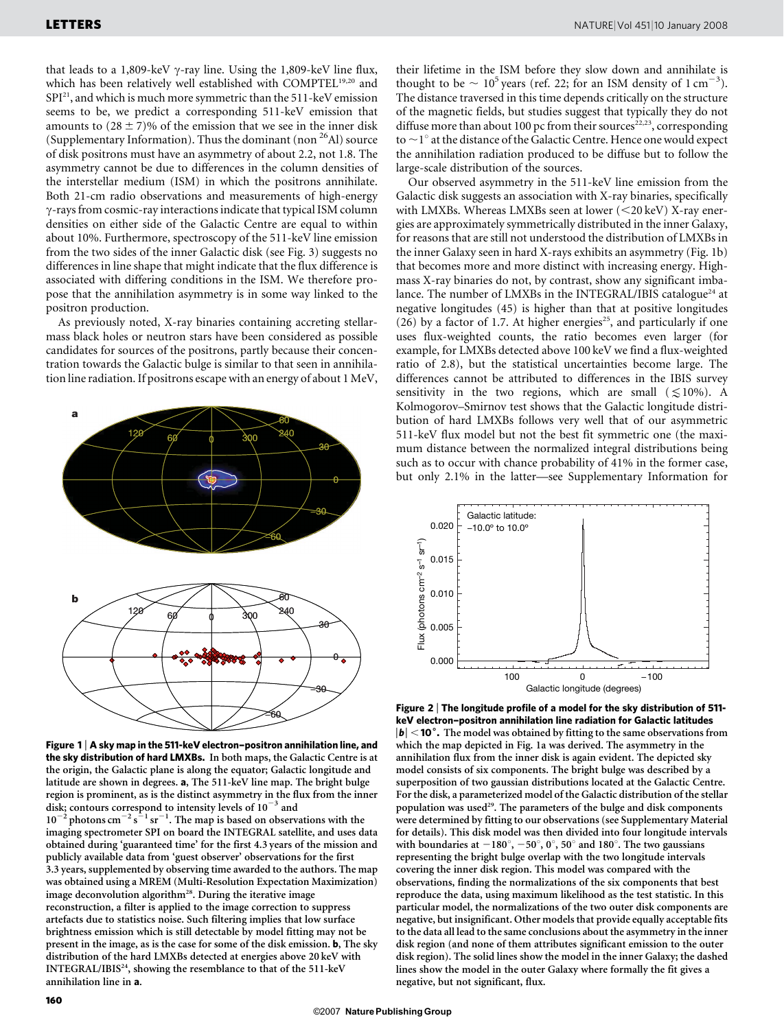that leads to a 1,809-keV  $\gamma$ -ray line. Using the 1,809-keV line flux, which has been relatively well established with COMPTEL<sup>19,20</sup> and SPI21, and which is much more symmetric than the 511-keV emission seems to be, we predict a corresponding 511-keV emission that amounts to  $(28 \pm 7)\%$  of the emission that we see in the inner disk (Supplementary Information). Thus the dominant (non  $^{26}$ Al) source of disk positrons must have an asymmetry of about 2.2, not 1.8. The asymmetry cannot be due to differences in the column densities of the interstellar medium (ISM) in which the positrons annihilate. Both 21-cm radio observations and measurements of high-energy  $\gamma$ -rays from cosmic-ray interactions indicate that typical ISM column densities on either side of the Galactic Centre are equal to within about 10%. Furthermore, spectroscopy of the 511-keV line emission from the two sides of the inner Galactic disk (see Fig. 3) suggests no differences in line shape that might indicate that the flux difference is associated with differing conditions in the ISM. We therefore propose that the annihilation asymmetry is in some way linked to the positron production.

As previously noted, X-ray binaries containing accreting stellarmass black holes or neutron stars have been considered as possible candidates for sources of the positrons, partly because their concentration towards the Galactic bulge is similar to that seen in annihilation line radiation. If positrons escape with an energy of about 1 MeV,



Figure 1 <sup>|</sup> A sky map in the 511-keV electron–positron annihilation line, and the sky distribution of hard LMXBs. In both maps, the Galactic Centre is at the origin, the Galactic plane is along the equator; Galactic longitude and latitude are shown in degrees. a, The 511-keV line map. The bright bulge region is prominent, as is the distinct asymmetry in the flux from the inner disk; contours correspond to intensity levels of  $10^{-3}$  and  $10^{-2}$  photons cm<sup>-2</sup> s<sup>-1</sup> sr<sup>-1</sup>. The map is based on observations with the imaging spectrometer SPI on board the INTEGRAL satellite, and uses data obtained during 'guaranteed time' for the first 4.3 years of the mission and publicly available data from 'guest observer' observations for the first 3.3 years, supplemented by observing time awarded to the authors. The map was obtained using a MREM (Multi-Resolution Expectation Maximization) image deconvolution algorithm<sup>28</sup>. During the iterative image reconstruction, a filter is applied to the image correction to suppress artefacts due to statistics noise. Such filtering implies that low surface brightness emission which is still detectable by model fitting may not be present in the image, as is the case for some of the disk emission. b, The sky distribution of the hard LMXBs detected at energies above 20 keV with INTEGRAL/IBIS<sup>24</sup>, showing the resemblance to that of the 511-keV annihilation line in a.

their lifetime in the ISM before they slow down and annihilate is thought to be  $\sim 10^5$  years (ref. 22; for an ISM density of 1 cm<sup>-3</sup>). The distance traversed in this time depends critically on the structure of the magnetic fields, but studies suggest that typically they do not diffuse more than about 100 pc from their sources<sup>22,23</sup>, corresponding to  $\sim$  1 $^{\circ}$  at the distance of the Galactic Centre. Hence one would expect the annihilation radiation produced to be diffuse but to follow the large-scale distribution of the sources.

Our observed asymmetry in the 511-keV line emission from the Galactic disk suggests an association with X-ray binaries, specifically with LMXBs. Whereas LMXBs seen at lower  $(<$  20 keV) X-ray energies are approximately symmetrically distributed in the inner Galaxy, for reasons that are still not understood the distribution of LMXBs in the inner Galaxy seen in hard X-rays exhibits an asymmetry (Fig. 1b) that becomes more and more distinct with increasing energy. Highmass X-ray binaries do not, by contrast, show any significant imbalance. The number of LMXBs in the INTEGRAL/IBIS catalogue<sup>24</sup> at negative longitudes (45) is higher than that at positive longitudes (26) by a factor of 1.7. At higher energies<sup>25</sup>, and particularly if one uses flux-weighted counts, the ratio becomes even larger (for example, for LMXBs detected above 100 keV we find a flux-weighted ratio of 2.8), but the statistical uncertainties become large. The differences cannot be attributed to differences in the IBIS survey sensitivity in the two regions, which are small  $(\leq 10\%)$ . A Kolmogorov–Smirnov test shows that the Galactic longitude distribution of hard LMXBs follows very well that of our asymmetric 511-keV flux model but not the best fit symmetric one (the maximum distance between the normalized integral distributions being such as to occur with chance probability of 41% in the former case, but only 2.1% in the latter—see Supplementary Information for



Figure 2 <sup>|</sup> The longitude profile of a model for the sky distribution of 511 keV electron–positron annihilation line radiation for Galactic latitudes  $|b|$  < 10 $^{\circ}$ . The model was obtained by fitting to the same observations from which the map depicted in Fig. 1a was derived. The asymmetry in the annihilation flux from the inner disk is again evident. The depicted sky model consists of six components. The bright bulge was described by a superposition of two gaussian distributions located at the Galactic Centre. For the disk, a parameterized model of the Galactic distribution of the stellar population was used<sup>29</sup>. The parameters of the bulge and disk components were determined by fitting to our observations (see Supplementary Material for details). This disk model was then divided into four longitude intervals with boundaries at  $-180^\circ$ ,  $-50^\circ$ ,  $0^\circ$ ,  $50^\circ$  and  $180^\circ$ . The two gaussians representing the bright bulge overlap with the two longitude intervals covering the inner disk region. This model was compared with the observations, finding the normalizations of the six components that best reproduce the data, using maximum likelihood as the test statistic. In this particular model, the normalizations of the two outer disk components are negative, but insignificant. Other models that provide equally acceptable fits to the data all lead to the same conclusions about the asymmetry in the inner disk region (and none of them attributes significant emission to the outer disk region). The solid lines show the model in the inner Galaxy; the dashed lines show the model in the outer Galaxy where formally the fit gives a negative, but not significant, flux.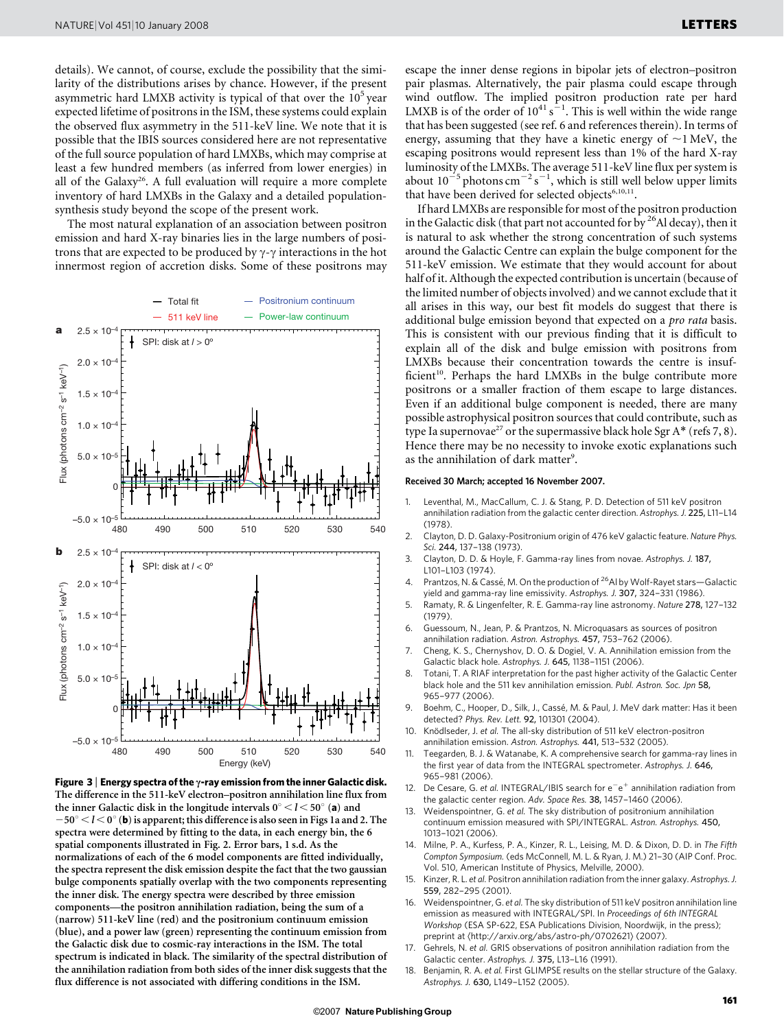details). We cannot, of course, exclude the possibility that the similarity of the distributions arises by chance. However, if the present asymmetric hard LMXB activity is typical of that over the  $10<sup>5</sup>$  year expected lifetime of positrons in the ISM, these systems could explain the observed flux asymmetry in the 511-keV line. We note that it is possible that the IBIS sources considered here are not representative of the full source population of hard LMXBs, which may comprise at least a few hundred members (as inferred from lower energies) in all of the Galaxy<sup>26</sup>. A full evaluation will require a more complete inventory of hard LMXBs in the Galaxy and a detailed populationsynthesis study beyond the scope of the present work.

The most natural explanation of an association between positron emission and hard X-ray binaries lies in the large numbers of positrons that are expected to be produced by  $\gamma$ - $\gamma$  interactions in the hot innermost region of accretion disks. Some of these positrons may





escape the inner dense regions in bipolar jets of electron–positron pair plasmas. Alternatively, the pair plasma could escape through wind outflow. The implied positron production rate per hard LMXB is of the order of  $10^{41}$  s<sup> $-1$ </sup>. This is well within the wide range that has been suggested (see ref. 6 and references therein). In terms of energy, assuming that they have a kinetic energy of  $\sim$ 1 MeV, the escaping positrons would represent less than 1% of the hard X-ray luminosity of the LMXBs. The average 511-keV line flux per system is about  $10^{-5}$  photons cm<sup>-2</sup> s<sup>-1</sup>, which is still well below upper limits that have been derived for selected objects<sup>6,10,11</sup>.

If hard LMXBs are responsible for most of the positron production in the Galactic disk (that part not accounted for by  $26$ Al decay), then it is natural to ask whether the strong concentration of such systems around the Galactic Centre can explain the bulge component for the 511-keV emission. We estimate that they would account for about half of it. Although the expected contribution is uncertain (because of the limited number of objects involved) and we cannot exclude that it all arises in this way, our best fit models do suggest that there is additional bulge emission beyond that expected on a pro rata basis. This is consistent with our previous finding that it is difficult to explain all of the disk and bulge emission with positrons from LMXBs because their concentration towards the centre is insufficient<sup>10</sup>. Perhaps the hard LMXBs in the bulge contribute more positrons or a smaller fraction of them escape to large distances. Even if an additional bulge component is needed, there are many possible astrophysical positron sources that could contribute, such as type Ia supernovae<sup>27</sup> or the supermassive black hole Sgr A\* (refs 7, 8). Hence there may be no necessity to invoke exotic explanations such as the annihilation of dark matter<sup>9</sup>.

## Received 30 March; accepted 16 November 2007.

- 1. Leventhal, M., MacCallum, C. J. & Stang, P. D. Detection of 511 keV positron annihilation radiation from the galactic center direction. Astrophys. J. 225, L11–L14 (1978).
- 2. Clayton, D. D. Galaxy-Positronium origin of 476 keV galactic feature. Nature Phys. Sci. 244, 137–138 (1973).
- 3. Clayton, D. D. & Hoyle, F. Gamma-ray lines from novae. Astrophys. J. 187, L101–L103 (1974).
- 4. Prantzos, N. & Cassé, M. On the production of <sup>26</sup>Al by Wolf-Rayet stars-Galactic yield and gamma-ray line emissivity. Astrophys. J. 307, 324–331 (1986).
- 5. Ramaty, R. & Lingenfelter, R. E. Gamma-ray line astronomy. Nature 278, 127–132 (1979).
- 6. Guessoum, N., Jean, P. & Prantzos, N. Microquasars as sources of positron annihilation radiation. Astron. Astrophys. 457, 753–762 (2006).
- 7. Cheng, K. S., Chernyshov, D. O. & Dogiel, V. A. Annihilation emission from the Galactic black hole. Astrophys. J. 645, 1138–1151 (2006).
- 8. Totani, T. A RIAF interpretation for the past higher activity of the Galactic Center black hole and the 511 kev annihilation emission. Publ. Astron. Soc. Jpn 58, 965–977 (2006).
- 9. Boehm, C., Hooper, D., Silk, J., Cassé, M. & Paul, J. MeV dark matter: Has it been detected? Phys. Rev. Lett. 92, 101301 (2004).
- 10. Knödlseder, J. et al. The all-sky distribution of 511 keV electron-positron annihilation emission. Astron. Astrophys. 441, 513–532 (2005).
- 11. Teegarden, B. J. & Watanabe, K. A comprehensive search for gamma-ray lines in the first year of data from the INTEGRAL spectrometer. Astrophys. J. 646, 965–981 (2006).
- 12. De Cesare, G. et al. INTEGRAL/IBIS search for  $e^-e^+$  annihilation radiation from the galactic center region. Adv. Space Res. 38, 1457–1460 (2006).
- 13. Weidenspointner, G. et al. The sky distribution of positronium annihilation continuum emission measured with SPI/INTEGRAL. Astron. Astrophys. 450, 1013–1021 (2006).
- 14. Milne, P. A., Kurfess, P. A., Kinzer, R. L., Leising, M. D. & Dixon, D. D. in The Fifth Compton Symposium. (eds McConnell, M. L. & Ryan, J. M.) 21–30 (AIP Conf. Proc. Vol. 510, American Institute of Physics, Melville, 2000).
- 15. Kinzer, R. L. et al. Positron annihilation radiation from the inner galaxy. Astrophys. J. 559, 282–295 (2001).
- 16. Weidenspointner, G. et al. The sky distribution of 511 keV positron annihilation line emission as measured with INTEGRAL/SPI. In Proceedings of 6th INTEGRAL Workshop (ESA SP-622, ESA Publications Division, Noordwijk, in the press); preprint at (<http://arxiv.org/abs/astro-ph/0702621>) (2007).
- 17. Gehrels, N. et al. GRIS observations of positron annihilation radiation from the Galactic center. Astrophys. J. 375, L13–L16 (1991).
- 18. Benjamin, R. A. et al. First GLIMPSE results on the stellar structure of the Galaxy. Astrophys. J. 630, L149–L152 (2005).